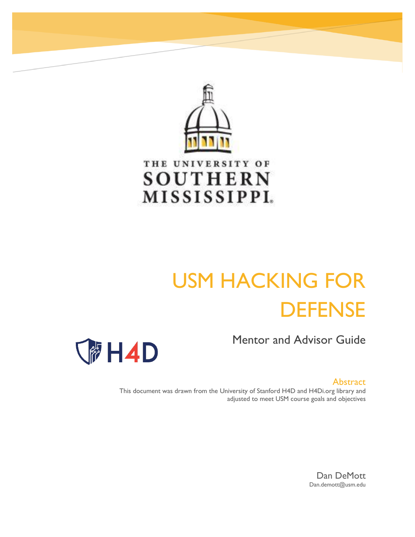

# THE UNIVERSITY OF **SOUTHERN** MISSISSIPPI.

# USM HACKING FOR **DEFENSE**

Mentor and Advisor Guide



Abstract

This document was drawn from the University of Stanford H4D and H4Di.org library and adjusted to meet USM course goals and objectives

> Dan DeMott Dan.demott@usm.edu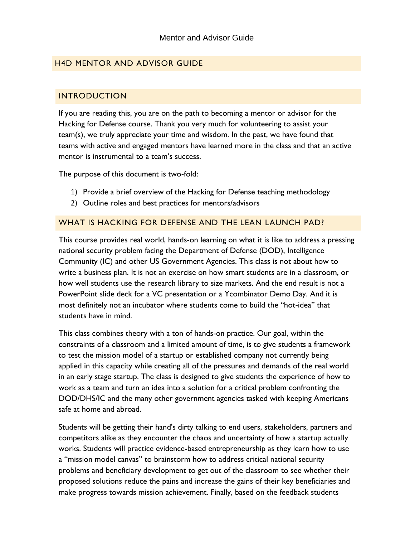# H4D MENTOR AND ADVISOR GUIDE

## INTRODUCTION

If you are reading this, you are on the path to becoming a mentor or advisor for the Hacking for Defense course. Thank you very much for volunteering to assist your team(s), we truly appreciate your time and wisdom. In the past, we have found that teams with active and engaged mentors have learned more in the class and that an active mentor is instrumental to a team's success.

The purpose of this document is two-fold:

- 1) Provide a brief overview of the Hacking for Defense teaching methodology
- 2) Outline roles and best practices for mentors/advisors

## WHAT IS HACKING FOR DEFENSE AND THE LEAN LAUNCH PAD?

This course provides real world, hands-on learning on what it is like to address a pressing national security problem facing the Department of Defense (DOD), Intelligence Community (IC) and other US Government Agencies. This class is not about how to write a business plan. It is not an exercise on how smart students are in a classroom, or how well students use the research library to size markets. And the end result is not a PowerPoint slide deck for a VC presentation or a Ycombinator Demo Day. And it is most definitely not an incubator where students come to build the "hot-idea" that students have in mind.

This class combines theory with a ton of hands-on practice. Our goal, within the constraints of a classroom and a limited amount of time, is to give students a framework to test the mission model of a startup or established company not currently being applied in this capacity while creating all of the pressures and demands of the real world in an early stage startup. The class is designed to give students the experience of how to work as a team and turn an idea into a solution for a critical problem confronting the DOD/DHS/IC and the many other government agencies tasked with keeping Americans safe at home and abroad.

Students will be getting their hand's dirty talking to end users, stakeholders, partners and competitors alike as they encounter the chaos and uncertainty of how a startup actually works. Students will practice evidence-based entrepreneurship as they learn how to use a "mission model canvas" to brainstorm how to address critical national security problems and beneficiary development to get out of the classroom to see whether their proposed solutions reduce the pains and increase the gains of their key beneficiaries and make progress towards mission achievement. Finally, based on the feedback students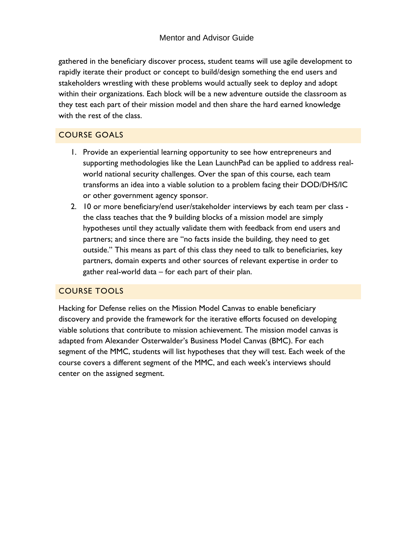gathered in the beneficiary discover process, student teams will use agile development to rapidly iterate their product or concept to build/design something the end users and stakeholders wrestling with these problems would actually seek to deploy and adopt within their organizations. Each block will be a new adventure outside the classroom as they test each part of their mission model and then share the hard earned knowledge with the rest of the class.

# COURSE GOALS

- 1. Provide an experiential learning opportunity to see how entrepreneurs and supporting methodologies like the Lean LaunchPad can be applied to address realworld national security challenges. Over the span of this course, each team transforms an idea into a viable solution to a problem facing their DOD/DHS/IC or other government agency sponsor.
- 2. 10 or more beneficiary/end user/stakeholder interviews by each team per class the class teaches that the 9 building blocks of a mission model are simply hypotheses until they actually validate them with feedback from end users and partners; and since there are "no facts inside the building, they need to get outside." This means as part of this class they need to talk to beneficiaries, key partners, domain experts and other sources of relevant expertise in order to gather real-world data – for each part of their plan.

# COURSE TOOLS

Hacking for Defense relies on the Mission Model Canvas to enable beneficiary discovery and provide the framework for the iterative efforts focused on developing viable solutions that contribute to mission achievement. The mission model canvas is adapted from Alexander Osterwalder's Business Model Canvas (BMC). For each segment of the MMC, students will list hypotheses that they will test. Each week of the course covers a different segment of the MMC, and each week's interviews should center on the assigned segment.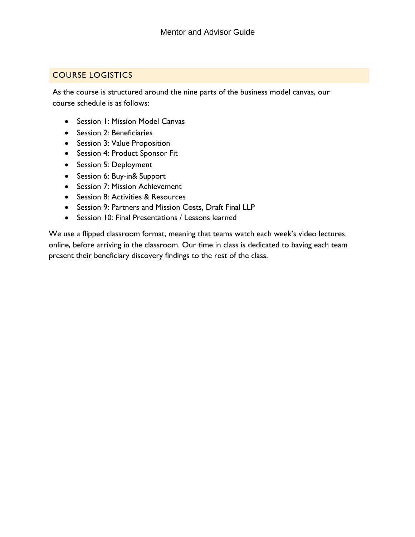# COURSE LOGISTICS

As the course is structured around the nine parts of the business model canvas, our course schedule is as follows:

- Session 1: Mission Model Canvas
- Session 2: Beneficiaries
- Session 3: Value Proposition
- Session 4: Product Sponsor Fit
- Session 5: Deployment
- Session 6: Buy-in& Support
- Session 7: Mission Achievement
- Session 8: Activities & Resources
- Session 9: Partners and Mission Costs, Draft Final LLP
- Session 10: Final Presentations / Lessons learned

We use a flipped classroom format, meaning that teams watch each week's video lectures online, before arriving in the classroom. Our time in class is dedicated to having each team present their beneficiary discovery findings to the rest of the class.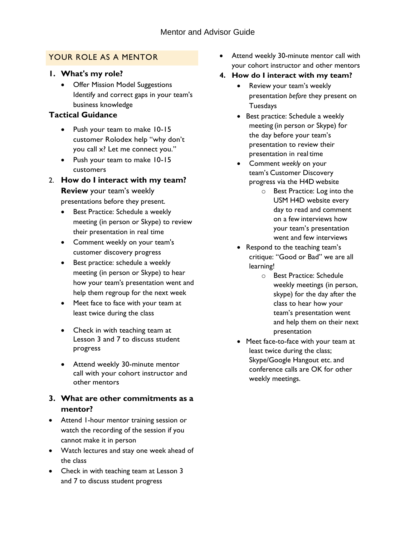# YOUR ROLE AS A MENTOR

- **1. What's my role?**
	- Offer Mission Model Suggestions Identify and correct gaps in your team's business knowledge

# **Tactical Guidance**

- Push your team to make 10-15 customer Rolodex help "why don't you call x? Let me connect you."
- Push your team to make 10-15 customers
- 2. **How do I interact with my team?**

## **Review** your team's weekly presentations before they present.

- Best Practice: Schedule a weekly meeting (in person or Skype) to review their presentation in real time
- Comment weekly on your team's customer discovery progress
- Best practice: schedule a weekly meeting (in person or Skype) to hear how your team's presentation went and help them regroup for the next week
- Meet face to face with your team at least twice during the class
- Check in with teaching team at Lesson 3 and 7 to discuss student progress
- Attend weekly 30-minute mentor call with your cohort instructor and other mentors

# **3. What are other commitments as a mentor?**

- Attend 1-hour mentor training session or watch the recording of the session if you cannot make it in person
- Watch lectures and stay one week ahead of the class
- Check in with teaching team at Lesson 3 and 7 to discuss student progress
- Attend weekly 30-minute mentor call with your cohort instructor and other mentors
- **4. How do I interact with my team?**
	- Review your team's weekly presentation *before* they present on **Tuesdays**
	- Best practice: Schedule a weekly meeting (in person or Skype) for the day before your team's presentation to review their presentation in real time
	- Comment *weekly* on your team's Customer Discovery progress via the H4D website
		- o Best Practice: Log into the USM H4D website every day to read and comment on a few interviews how your team's presentation went and few interviews
	- Respond to the teaching team's critique: "Good or Bad" we are all learning!
		- o Best Practice: Schedule weekly meetings (in person, skype) for the day after the class to hear how your team's presentation went and help them on their next presentation
	- Meet face-to-face with your team at least twice during the class; Skype/Google Hangout etc. and conference calls are OK for other weekly meetings.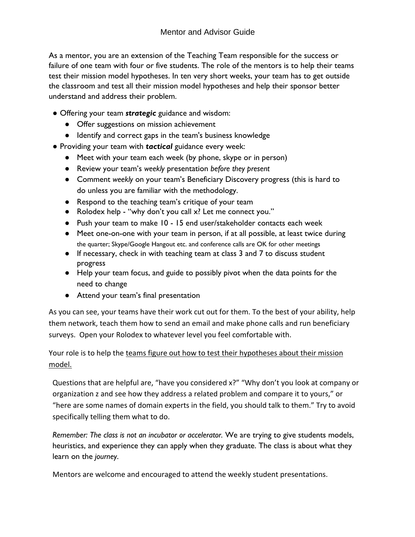As a mentor, you are an extension of the Teaching Team responsible for the success or failure of one team with four or five students. The role of the mentors is to help their teams test their mission model hypotheses. In ten very short weeks, your team has to get outside the classroom and test all their mission model hypotheses and help their sponsor better understand and address their problem.

- Offering your team *strategic* guidance and wisdom:
	- Offer suggestions on mission achievement
	- Identify and correct gaps in the team's business knowledge
- Providing your team with *tactical* guidance every week:
	- Meet with your team each week (by phone, skype or in person)
	- Review your team's *weekly* presentation *before they present*
	- Comment *weekly* on your team's Beneficiary Discovery progress (this is hard to do unless you are familiar with the methodology.
	- Respond to the teaching team's critique of your team
	- Rolodex help "why don't you call x? Let me connect you."
	- Push your team to make 10 15 end user/stakeholder contacts each week
	- Meet one-on-one with your team in person, if at all possible, at least twice during the quarter; Skype/Google Hangout etc. and conference calls are OK for other meetings
	- If necessary, check in with teaching team at class 3 and 7 to discuss student progress
	- Help your team focus, and guide to possibly pivot when the data points for the need to change
	- Attend your team's final presentation

As you can see, your teams have their work cut out for them. To the best of your ability, help them network, teach them how to send an email and make phone calls and run beneficiary surveys. Open your Rolodex to whatever level you feel comfortable with.

Your role is to help the teams figure out how to test their hypotheses about their mission model.

Questions that are helpful are, "have you considered x?" "Why don't you look at company or organization z and see how they address a related problem and compare it to yours," or "here are some names of domain experts in the field, you should talk to them." Try to avoid specifically telling them what to do.

*Remember: The class is not an incubator or accelerator.* We are trying to give students models, heuristics, and experience they can apply when they graduate. The class is about what they learn on the *journey*.

Mentors are welcome and encouraged to attend the weekly student presentations.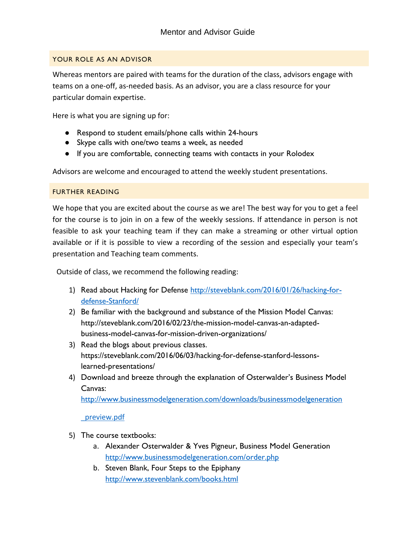#### YOUR ROLE AS AN ADVISOR

Whereas mentors are paired with teams for the duration of the class, advisors engage with teams on a one-off, as-needed basis. As an advisor, you are a class resource for your particular domain expertise.

Here is what you are signing up for:

- Respond to student emails/phone calls within 24-hours
- Skype calls with one/two teams a week, as needed
- If you are comfortable, connecting teams with contacts in your Rolodex

Advisors are welcome and encouraged to attend the weekly student presentations.

#### FURTHER READING

We hope that you are excited about the course as we are! The best way for you to get a feel for the course is to join in on a few of the weekly sessions. If attendance in person is not feasible to ask your teaching team if they can make a streaming or other virtual option available or if it is possible to view a recording of the session and especially your team's presentation and Teaching team comments.

Outside of class, we recommend the following reading:

- 1) Read about Hacking for Defense [http://steveblank.com/2016/01/26/hacking-for](http://steveblank.com/2016/01/26/hacking-for-)defense-Stanford/
- 2) Be familiar with the background and substance of the Mission Model Canvas: [http://steveblank.com/2016/02/23/the-mission-model-canvas-an-adapted](http://steveblank.com/2016/02/23/the-mission-model-canvas-an-adapted-)business-model-canvas-for-mission-driven-organizations/
- 3) Read the blogs about previous classes. https://steveblank.com/2016/06/03/hacking-for-defense-stanford-lessonslearned-presentations/
- 4) Download and breeze through the explanation of Osterwalder's Business Model Canvas:

<http://www.businessmodelgeneration.com/downloads/businessmodelgeneration>

\_preview.pdf

- 5) The course textbooks:
	- a. Alexander Osterwalder & Yves Pigneur, Business Model Generation <http://www.businessmodelgeneration.com/order.php>
	- b. Steven Blank, Four Steps to the Epiphany <http://www.stevenblank.com/books.html>